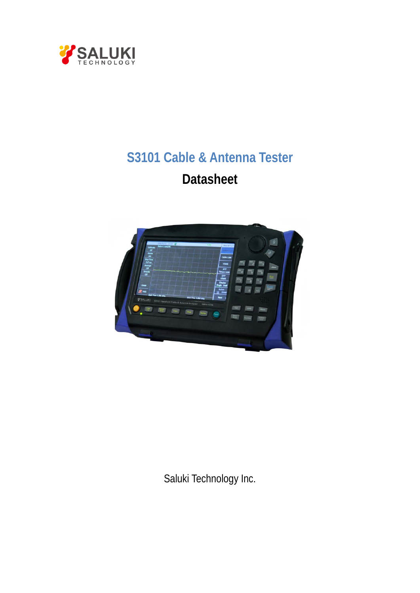

# **S3101 Cable & Antenna Tester Datasheet**



Saluki Technology Inc.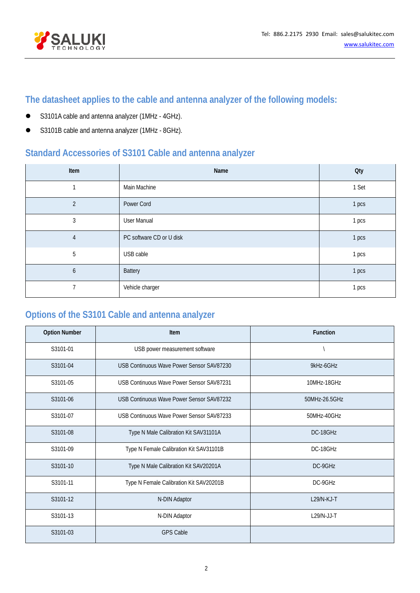

# **The datasheet applies to the cable and antenna analyzer of the following models:**

- S3101A cable and antenna analyzer (1MHz 4GHz).
- S3101B cable and antenna analyzer (1MHz 8GHz).

# **Standard Accessories of S3101 Cable and antenna analyzer**

| Item           | Name                     | <b>Qty</b> |
|----------------|--------------------------|------------|
|                | Main Machine             | 1 Set      |
| $\overline{2}$ | Power Cord               | 1 pcs      |
| 3              | <b>User Manual</b>       | 1 pcs      |
| $\overline{4}$ | PC software CD or U disk | 1 pcs      |
| 5              | USB cable                | 1 pcs      |
| 6              | <b>Battery</b>           | 1 pcs      |
|                | Vehicle charger          | 1 pcs      |

# **Options of the S3101 Cable and antenna analyzer**

| <b>Option Number</b> | Item                                      | <b>Function</b> |
|----------------------|-------------------------------------------|-----------------|
| S3101-01             | USB power measurement software            |                 |
| S3101-04             | USB Continuous Wave Power Sensor SAV87230 | 9kHz-6GHz       |
| S3101-05             | USB Continuous Wave Power Sensor SAV87231 | 10MHz-18GHz     |
| S3101-06             | USB Continuous Wave Power Sensor SAV87232 | 50MHz-26.5GHz   |
| S3101-07             | USB Continuous Wave Power Sensor SAV87233 | 50MHz-40GHz     |
| S3101-08             | Type N Male Calibration Kit SAV31101A     | DC-18GHz        |
| S3101-09             | Type N Female Calibration Kit SAV31101B   | DC-18GHz        |
| S3101-10             | Type N Male Calibration Kit SAV20201A     | DC-9GHz         |
| S3101-11             | Type N Female Calibration Kit SAV20201B   | DC-9GHz         |
| S3101-12             | N-DIN Adaptor                             | $L29/N-KJ-T$    |
| S3101-13             | N-DIN Adaptor                             | $L29/N-JJ-T$    |
| S3101-03             | <b>GPS Cable</b>                          |                 |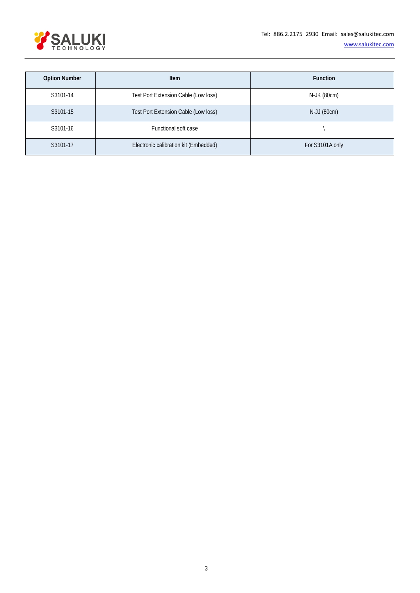

| <b>Option Number</b> | Item                                  | <b>Function</b> |
|----------------------|---------------------------------------|-----------------|
| S3101-14             | Test Port Extension Cable (Low loss)  | N-JK (80cm)     |
| S3101-15             | Test Port Extension Cable (Low loss)  | N-JJ (80cm)     |
| S3101-16             | Functional soft case                  |                 |
| S3101-17             | Electronic calibration kit (Embedded) | For S3101A only |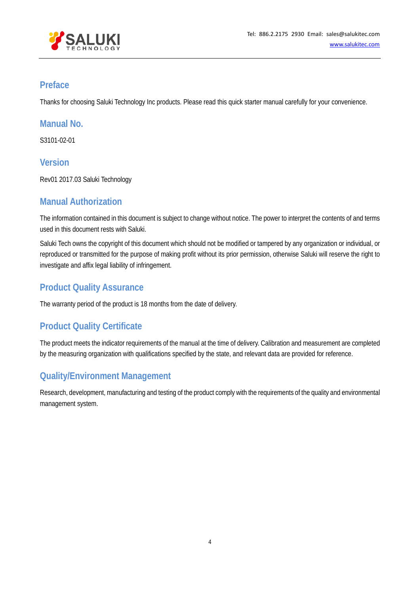

#### **Preface**

Thanks for choosing Saluki Technology Inc products. Please read this quick starter manual carefully for your convenience.

#### **Manual No.**

S3101-02-01

#### **Version**

Rev01 2017.03 Saluki Technology

#### **Manual Authorization**

The information contained in this document is subject to change without notice. The power to interpret the contents of and terms used in this document rests with Saluki.

Saluki Tech owns the copyright of this document which should not be modified or tampered by any organization or individual, or reproduced or transmitted for the purpose of making profit without its prior permission, otherwise Saluki will reserve the right to investigate and affix legal liability of infringement.

## **Product Quality Assurance**

The warranty period of the product is 18 months from the date of delivery.

#### **Product Quality Certificate**

The product meets the indicator requirements of the manual at the time of delivery. Calibration and measurement are completed by the measuring organization with qualifications specified by the state, and relevant data are provided for reference.

#### **Quality/Environment Management**

Research, development, manufacturing and testing of the product comply with the requirements of the quality and environmental management system.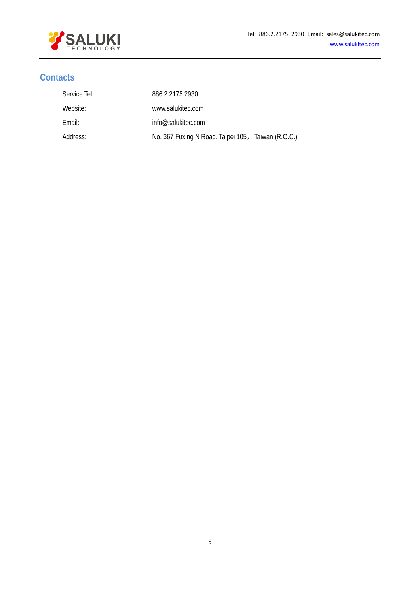

#### **Contacts**

| Service Tel: | 886.2.2175 2930                                    |  |
|--------------|----------------------------------------------------|--|
| Website:     | www.salukitec.com                                  |  |
| Email:       | info@salukitec.com                                 |  |
| Address:     | No. 367 Fuxing N Road, Taipei 105, Taiwan (R.O.C.) |  |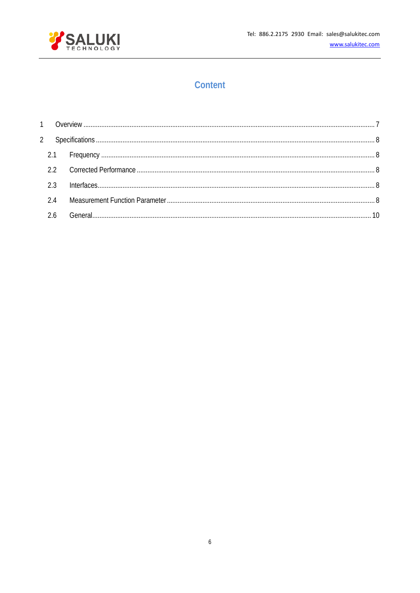

# Content

| 2.3 |  |
|-----|--|
| 2.4 |  |
|     |  |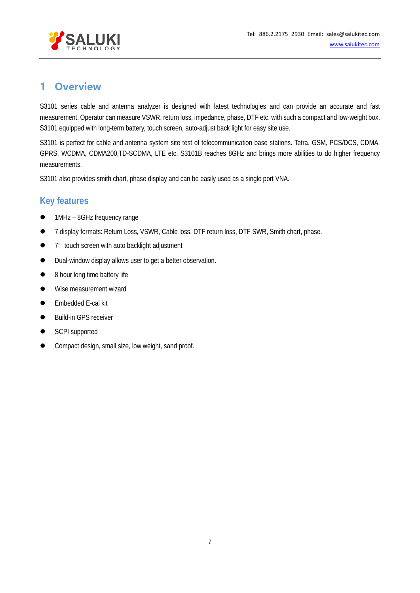

# <span id="page-6-0"></span>**1 Overview**

S3101 series cable and antenna analyzer is designed with latest technologies and can provide an accurate and fast measurement. Operator can measure VSWR, return loss, impedance, phase, DTF etc. with such a compact and low-weight box. S3101 equipped with long-term battery, touch screen, auto-adjust back light for easy site use.

S3101 is perfect for cable and antenna system site test of telecommunication base stations. Tetra, GSM, PCS/DCS, CDMA, GPRS, WCDMA, CDMA200,TD-SCDMA, LTE etc. S3101B reaches 8GHz and brings more abilities to do higher frequency measurements.

S3101 also provides smith chart, phase display and can be easily used as a single port VNA.

## **Key features**

- 1MHz 8GHz frequency range
- 7 display formats: Return Loss, VSWR, Cable loss, DTF return loss, DTF SWR, Smith chart, phase.
- 7<sup>"</sup> touch screen with auto backlight adjustment
- $\bullet$  Dual-window display allows user to get a better observation.
- 8 hour long time battery life
- **Wise measurement wizard**
- Embedded E-cal kit
- Build-in GPS receiver
- SCPI supported
- **•** Compact design, small size, low weight, sand proof.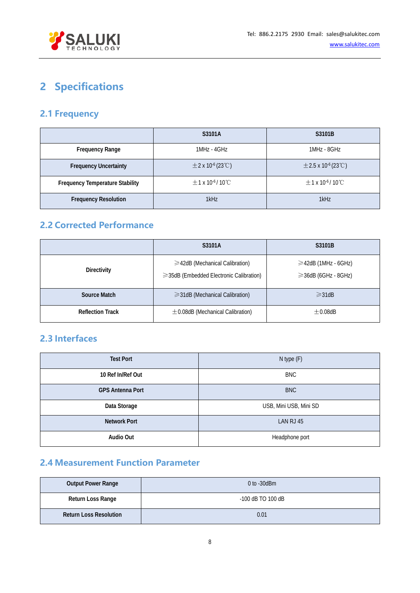

# <span id="page-7-0"></span>**2 Specifications**

# <span id="page-7-1"></span>**2.1 Frequency**

|                                        | S3101A                                        | S3101B                                           |
|----------------------------------------|-----------------------------------------------|--------------------------------------------------|
| <b>Frequency Range</b>                 | 1MHz - 4GHz                                   | 1MHz - 8GHz                                      |
| <b>Frequency Uncertainty</b>           | $\pm$ 2 x 10 <sup>-6</sup> (23 °C)            | $\pm$ 2.5 x 10 <sup>-6</sup> (23 <sup>°</sup> C) |
| <b>Frequency Temperature Stability</b> | $\pm$ 1 x 10 <sup>-6</sup> /10 <sup>°</sup> C | $\pm$ 1 x 10 <sup>-6</sup> /10 <sup>°</sup> C    |
| <b>Frequency Resolution</b>            | 1kHz                                          | 1kHz                                             |

# <span id="page-7-2"></span>**2.2 Corrected Performance**

|                         | S3101A                                                                                | S3101B                                                 |
|-------------------------|---------------------------------------------------------------------------------------|--------------------------------------------------------|
| <b>Directivity</b>      | $\geq$ 42dB (Mechanical Calibration)<br>$\geq$ 35dB (Embedded Electronic Calibration) | $\geq$ 42dB (1MHz - 6GHz)<br>$\geq$ 36dB (6GHz - 8GHz) |
| Source Match            | $\geq$ 31dB (Mechanical Calibration)                                                  | $\geq$ 31dB                                            |
| <b>Reflection Track</b> | $\pm$ 0.08dB (Mechanical Calibration)                                                 | $+0.08dB$                                              |

## <span id="page-7-3"></span>**2.3 Interfaces**

| <b>Test Port</b>        | N type (F)             |
|-------------------------|------------------------|
| 10 Ref In/Ref Out       | <b>BNC</b>             |
| <b>GPS Antenna Port</b> | <b>BNC</b>             |
| Data Storage            | USB, Mini USB, Mini SD |
| <b>Network Port</b>     | LAN RJ 45              |
| Audio Out               | Headphone port         |

## <span id="page-7-4"></span>**2.4 Measurement Function Parameter**

| <b>Output Power Range</b>     | $0$ to $-30$ dBm    |  |
|-------------------------------|---------------------|--|
| Return Loss Range             | $-100$ dB TO 100 dB |  |
| <b>Return Loss Resolution</b> | 0.01                |  |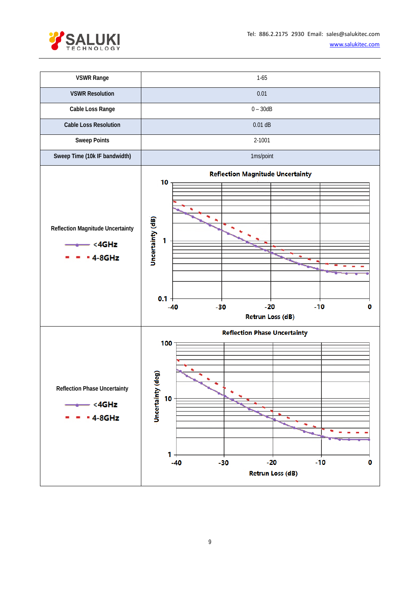